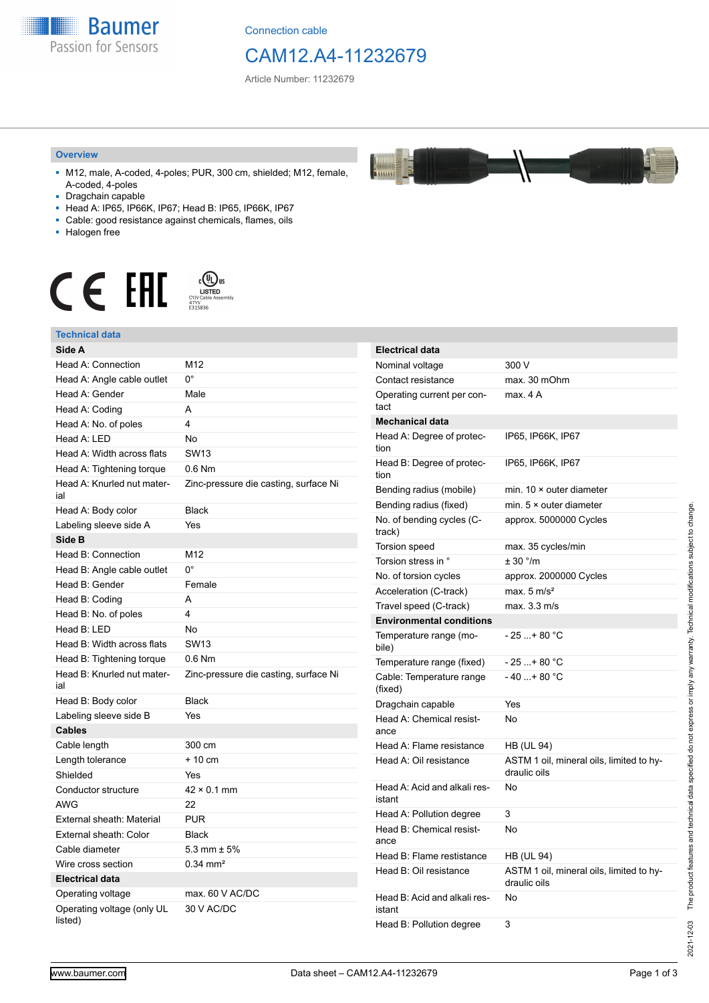

Connection cable

## CAM12.A4-11232679

Article Number: 11232679

#### **Overview**

- M12, male, A-coded, 4-poles; PUR, 300 cm, shielded; M12, female, A-coded, 4-poles
- Dragchain capable
- Head A: IP65, IP66K, IP67; Head B: IP65, IP66K, IP67
- Cable: good resistance against chemicals, flames, oils
- Halogen free



#### **Technical data**

| Technical data                        |                                       |
|---------------------------------------|---------------------------------------|
| Side A                                |                                       |
| Head A: Connection                    | M12                                   |
| Head A: Angle cable outlet            | 0°                                    |
| Head A: Gender                        | Male                                  |
| Head A: Coding                        | A                                     |
| Head A: No. of poles                  | 4                                     |
| Head A: LED                           | No                                    |
| Head A: Width across flats            | <b>SW13</b>                           |
| Head A: Tightening torque             | $0.6$ Nm                              |
| Head A: Knurled nut mater-<br>ial     | Zinc-pressure die casting, surface Ni |
| Head A: Body color                    | <b>Black</b>                          |
| Labeling sleeve side A                | Yes                                   |
| Side B                                |                                       |
| Head B: Connection                    | M12                                   |
| Head B: Angle cable outlet            | $0^{\circ}$                           |
| Head B: Gender                        | Female                                |
| Head B: Coding                        | A                                     |
| Head B: No. of poles                  | 4                                     |
| Head B: LED                           | No                                    |
| Head B: Width across flats            | <b>SW13</b>                           |
| Head B: Tightening torque             | $0.6$ Nm                              |
| Head B: Knurled nut mater-<br>ial     | Zinc-pressure die casting, surface Ni |
| Head B: Body color                    | <b>Black</b>                          |
| Labeling sleeve side B                | Yes                                   |
| <b>Cables</b>                         |                                       |
| Cable length                          | 300 cm                                |
| Length tolerance                      | + 10 cm                               |
| Shielded                              | Yes                                   |
| Conductor structure                   | $42 \times 0.1$ mm                    |
| AWG                                   | 22                                    |
| External sheath: Material             | <b>PUR</b>                            |
| External sheath: Color                | <b>Black</b>                          |
| Cable diameter                        | $5.3 \text{ mm} \pm 5\%$              |
| Wire cross section                    | $0.34$ mm <sup>2</sup>                |
| <b>Electrical data</b>                |                                       |
| Operating voltage                     | max. 60 V AC/DC                       |
| Operating voltage (only UL<br>listed) | 30 V AC/DC                            |

| <b>Electrical data</b>                 |                                                          |  |
|----------------------------------------|----------------------------------------------------------|--|
| Nominal voltage                        | 300 V                                                    |  |
| Contact resistance                     | max. 30 mOhm                                             |  |
| Operating current per con-<br>tact     | max. 4 A                                                 |  |
| <b>Mechanical data</b>                 |                                                          |  |
| Head A: Degree of protec-<br>tion      | IP65, IP66K, IP67                                        |  |
| Head B: Degree of protec-<br>tion      | IP65, IP66K, IP67                                        |  |
| Bending radius (mobile)                | min. $10 \times$ outer diameter                          |  |
| Bending radius (fixed)                 | min. $5 \times$ outer diameter                           |  |
| No. of bending cycles (C-<br>track)    | approx. 5000000 Cycles                                   |  |
| <b>Torsion speed</b>                   | max. 35 cycles/min                                       |  |
| Torsion stress in °                    | ± 30 °/m                                                 |  |
| No. of torsion cycles                  | approx. 2000000 Cycles                                   |  |
| Acceleration (C-track)                 | max. $5 \text{ m/s}^2$                                   |  |
| Travel speed (C-track)                 | max. 3.3 m/s                                             |  |
| <b>Environmental conditions</b>        |                                                          |  |
| Temperature range (mo-<br>bile)        | - 25 + 80 °C                                             |  |
| Temperature range (fixed)              | $-25+80 °C$                                              |  |
| Cable: Temperature range<br>(fixed)    | $-40+80 °C$                                              |  |
| Dragchain capable                      | Yes                                                      |  |
| Head A: Chemical resist-<br>ance       | No                                                       |  |
| Head A: Flame resistance               | HB (UL 94)                                               |  |
| Head A: Oil resistance                 | ASTM 1 oil, mineral oils, limited to hy-<br>draulic oils |  |
| Head A: Acid and alkali res-<br>istant | No                                                       |  |
| Head A: Pollution degree               | 3                                                        |  |
| Head B: Chemical resist-<br>ance       | No                                                       |  |
| Head B: Flame restistance              | HB (UL 94)                                               |  |
| Head B: Oil resistance                 | ASTM 1 oil, mineral oils, limited to hy-<br>draulic oils |  |
| Head B: Acid and alkali res-<br>istant | No                                                       |  |
| Head B: Pollution degree               | 3                                                        |  |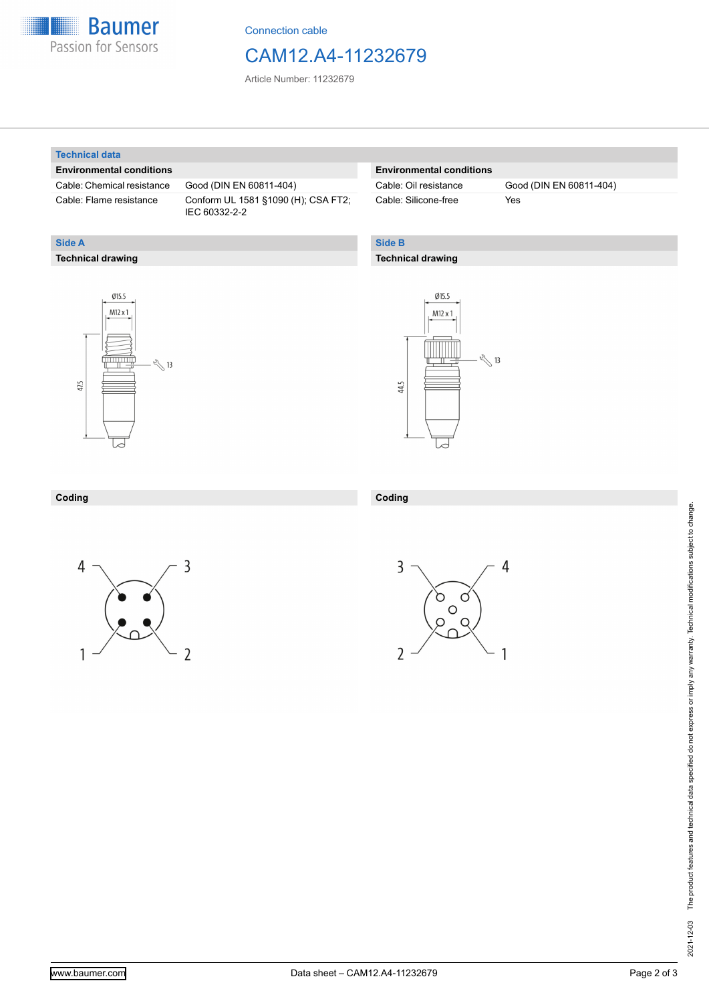

Connection cable

### CAM12.A4-11232679

Article Number: 11232679

#### **Technical data**

**Technical drawing**

**Side A**

#### **Environmental conditions**

Cable: Chemical resistance Good (DIN EN 60811-404)

Cable: Flame resistance Conform UL 1581 §1090 (H); CSA FT2; IEC 60332-2-2

#### **Environmental conditions**

Cable: Silicone-free Yes

Cable: Oil resistance Good (DIN EN 60811-404)

### **Side B**

#### **Technical drawing**





| Coding | Coding |
|--------|--------|
|        |        |